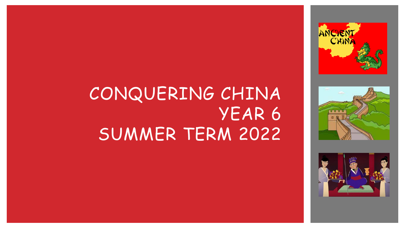





## CONQUERING CHINA YEAR 6 SUMMER TERM 2022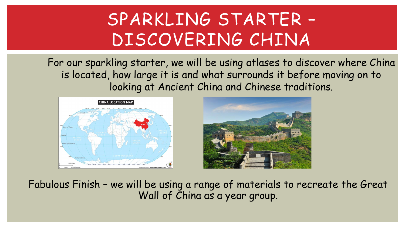## SPARKLING STARTER – DISCOVERING CHINA

For our sparkling starter, we will be using atlases to discover where China is located, how large it is and what surrounds it before moving on to looking at Ancient China and Chinese traditions.





Fabulous Finish – we will be using a range of materials to recreate the Great Wall of China as a year group.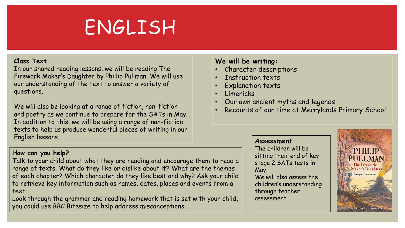# ENGLISH

#### **Class Text**

In our shared reading lessons, we will be reading The Firework Maker's Daughter by Phillip Pullman. We will use our understanding of the text to answer a variety of questions.

We will also be looking at a range of fiction, non-fiction and poetry as we continue to prepare for the SATs in May. In addition to this, we will be using a range of non-fiction texts to help us produce wonderful pieces of writing in our English lessons.

### **How can you help?**

Talk to your child about what they are reading and encourage them to read a range of texts. What do they like or dislike about it? What are the themes of each chapter? Which character do they like best and why? Ask your child to retrieve key information such as names, dates, places and events from a text.

Look through the grammar and reading homework that is set with your child, you could use BBC Bitesize to help address misconceptions.

### **We will be writing:**

- Character descriptions
- Instruction texts
- Explanation texts
- Limericks
- Our own ancient myths and legends
- Recounts of our time at Merrylands Primary School

### **Assessment**

The children will be sitting their end of key stage 2 SATs tests in May. We will also assess the children's understanding through teacher assessment.

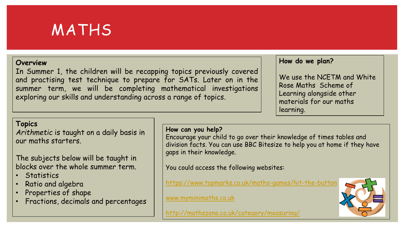

#### **Overview**

In Summer 1, the children will be recapping topics previously covered and practising test technique to prepare for SATs. Later on in the summer term, we will be completing mathematical investigations exploring our skills and understanding across a range of topics.

#### **How do we plan?**

We use the NCETM and White Rose Maths Scheme of Learning alongside other materials for our maths learning.

### **Topics**

*Arithmetic* is taught on a daily basis in our maths starters.

### The subjects below will be taught in blocks over the whole summer term.

- **Statistics**
- Ratio and algebra
- Properties of shape
- Fractions, decimals and percentages

### **How can you help?**

Encourage your child to go over their knowledge of times tables and division facts. You can use BBC Bitesize to help you at home if they have gaps in their knowledge.

You could access the following websites:

<https://www.topmarks.co.uk/maths-games/hit-the-button>

[www.myminimaths.co.uk](http://www.myminimaths.co.uk/)

<http://mathszone.co.uk/category/measuring/>

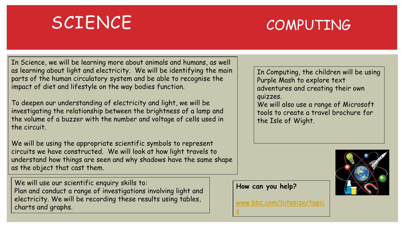### SCIENCE

### COMPUTING

In Science, we will be learning more about animals and humans, as well as learning about light and electricity. We will be identifying the main parts of the human circulatory system and be able to recognise the impact of diet and lifestyle on the way bodies function.

To deepen our understanding of electricity and light, we will be investigating the relationship between the brightness of a lamp and the volume of a buzzer with the number and voltage of cells used in the circuit.

We will be using the appropriate scientific symbols to represent circuits we have constructed. We will look at how light travels to understand how things are seen and why shadows have the same shape as the object that cast them.

We will use our scientific enquiry skills to: Plan and conduct a range of investigations involving light and electricity. We will be recording these results using tables, charts and graphs.

In Computing, the children will be using Purple Mash to explore text adventures and creating their own quizzes.

We will also use a range of Microsoft tools to create a travel brochure for the Isle of Wight.

**How can you help?**

[www.bbc.com/bitesize/topic](http://www.bbc.com/bitesize/topics) s

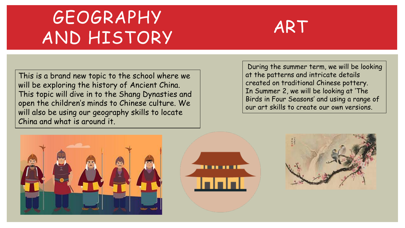# GEOGRAPHY AND HISTORY



This is a brand new topic to the school where we will be exploring the history of Ancient China. This topic will dive in to the Shang Dynasties and open the children's minds to Chinese culture. We will also be using our geography skills to locate China and what is around it.

During the summer term, we will be looking at the patterns and intricate details created on traditional Chinese pottery. In Summer 2, we will be looking at 'The Birds in Four Seasons' and using a range of our art skills to create our own versions.





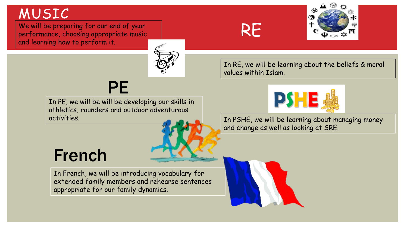### MUSIC

We will be preparing for our end of year performance, choosing appropriate music and learning how to perform it.



### RE



In RE, we will be learning about the beliefs & moral values within Islam.



In PE, we will be will be developing our skills in athletics, rounders and outdoor adventurous



activities. In PSHE, we will be learning about managing money and change as well as looking at SRE.

### French

In French, we will be introducing vocabulary for extended family members and rehearse sentences appropriate for our family dynamics.